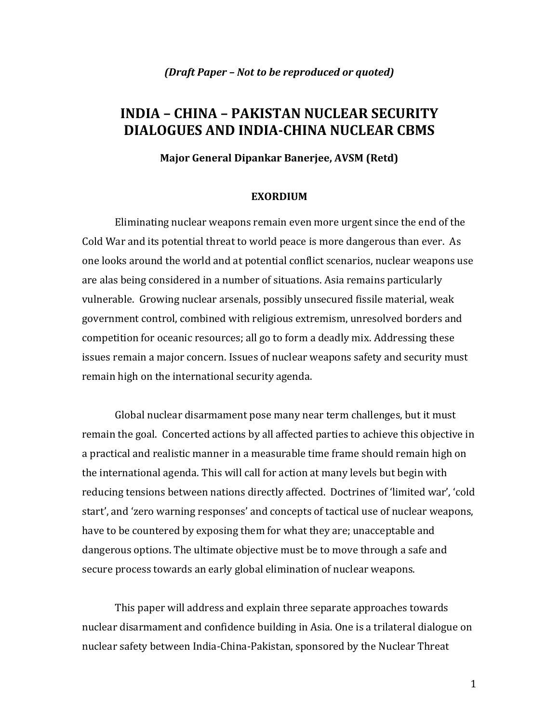# **INDIA – CHINA – PAKISTAN NUCLEAR SECURITY DIALOGUES AND INDIACHINA NUCLEAR CBMS**

**Major General Dipankar Banerjee, AVSM (Retd)**

#### **EXORDIUM**

Eliminating nuclear weapons remain even more urgent since the end of the Cold War and its potential threat to world peace is more dangerous than ever. As one looks around the world and at potential conflict scenarios, nuclear weapons use are alas being considered in a number of situations. Asia remains particularly vulnerable. Growing nuclear arsenals, possibly unsecured fissile material, weak government control, combined with religious extremism, unresolved borders and competition for oceanic resources; all go to form a deadly mix. Addressing these issues remain a major concern. Issues of nuclear weapons safety and security must remain high on the international security agenda.

Global nuclear disarmament pose many near term challenges, but it must remain the goal. Concerted actions by all affected parties to achieve this objective in a practical and realistic manner in a measurable time frame should remain high on the international agenda. This will call for action at many levels but begin with reducing tensions between nations directly affected. Doctrines of 'limited war', 'cold start', and 'zero warning responses' and concepts of tactical use of nuclear weapons, have to be countered by exposing them for what they are; unacceptable and dangerous options. The ultimate objective must be to move through a safe and secure process towards an early global elimination of nuclear weapons.

This paper will address and explain three separate approaches towards nuclear disarmament and confidence building in Asia. One is a trilateral dialogue on nuclear safety between India‐China‐Pakistan, sponsored by the Nuclear Threat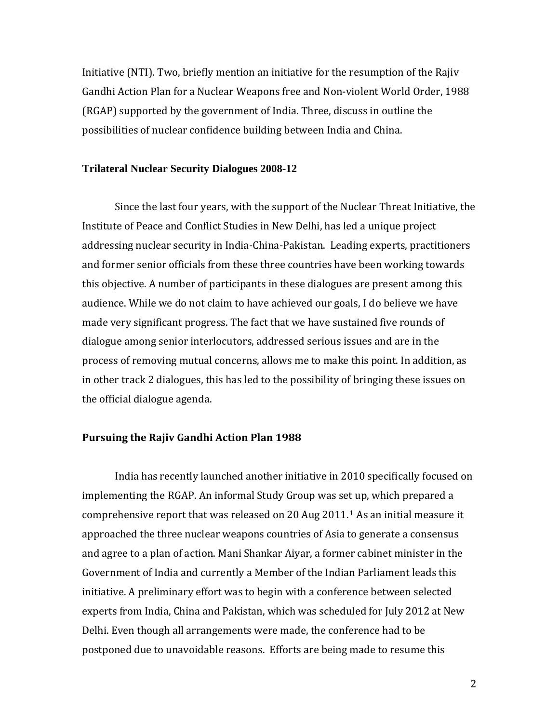Initiative (NTI). Two, briefly mention an initiative for the resumption of the Rajiv Gandhi Action Plan for a Nuclear Weapons free and Non‐violent World Order, 1988 (RGAP) supported by the government of India. Three, discuss in outline the possibilities of nuclear confidence building between India and China.

#### **Trilateral Nuclear Security Dialogues 2008-12**

Since the last four years, with the support of the Nuclear Threat Initiative, the Institute of Peace and Conflict Studies in New Delhi, has led a unique project addressing nuclear security in India‐China‐Pakistan. Leading experts, practitioners and former senior officials from these three countries have been working towards this objective. A number of participants in these dialogues are present among this audience. While we do not claim to have achieved our goals, I do believe we have made very significant progress. The fact that we have sustained five rounds of dialogue among senior interlocutors, addressed serious issues and are in the process of removing mutual concerns, allows me to make this point. In addition, as in other track 2 dialogues, this has led to the possibility of bringing these issues on the official dialogue agenda.

#### **Pursuing the Rajiv Gandhi Action Plan 1988**

 India has recently launched another initiative in 2010 specifically focused on implementing the RGAP. An informal Study Group was set up, which prepared a comprehensive report that was released on 20 Aug 2011.[1](#page-16-0) As an initial measure it approached the three nuclear weapons countries of Asia to generate a consensus and agree to a plan of action. Mani Shankar Aiyar, a former cabinet minister in the Government of India and currently a Member of the Indian Parliament leads this initiative. A preliminary effort was to begin with a conference between selected experts from India, China and Pakistan, which was scheduled for July 2012 at New Delhi. Even though all arrangements were made, the conference had to be postponed due to unavoidable reasons. Efforts are being made to resume this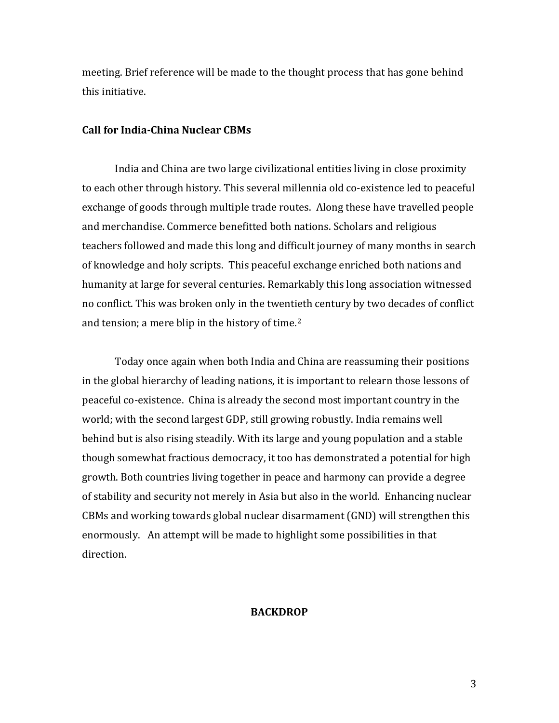meeting. Brief reference will be made to the thought process that has gone behind this initiative.

## **Call for IndiaChina Nuclear CBMs**

India and China are two large civilizational entities living in close proximity to each other through history. This several millennia old co‐existence led to peaceful exchange of goods through multiple trade routes. Along these have travelled people and merchandise. Commerce benefitted both nations. Scholars and religious teachers followed and made this long and difficult journey of many months in search of knowledge and holy scripts. This peaceful exchange enriched both nations and humanity at large for several centuries. Remarkably this long association witnessed no conflict. This was broken only in the twentieth century by two decades of conflict and tension; a mere blip in the history of time.[2](#page-16-1)

Today once again when both India and China are reassuming their positions in the global hierarchy of leading nations, it is important to relearn those lessons of peaceful co‐existence. China is already the second most important country in the world; with the second largest GDP, still growing robustly. India remains well behind but is also rising steadily. With its large and young population and a stable though somewhat fractious democracy, it too has demonstrated a potential for high growth. Both countries living together in peace and harmony can provide a degree of stability and security not merely in Asia but also in the world. Enhancing nuclear CBMs and working towards global nuclear disarmament (GND) will strengthen this enormously. An attempt will be made to highlight some possibilities in that direction.

#### **BACKDROP**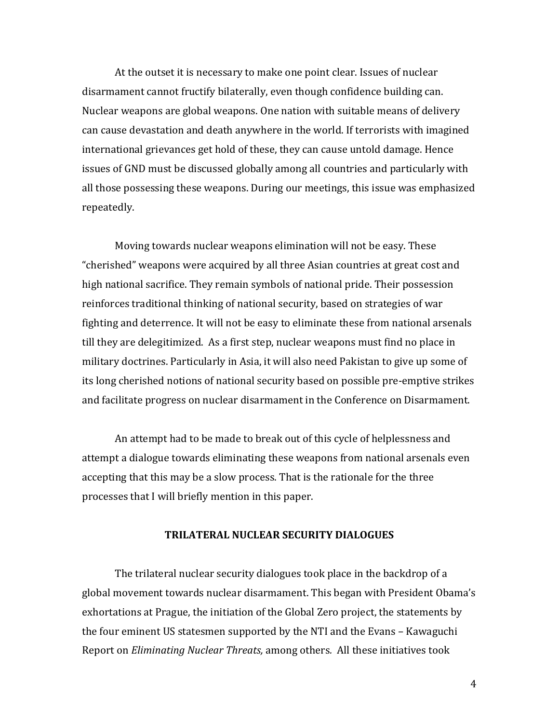At the outset it is necessary to make one point clear. Issues of nuclear disarmament cannot fructify bilaterally, even though confidence building can. Nuclear weapons are global weapons. One nation with suitable means of delivery can cause devastation and death anywhere in the world. If terrorists with imagined international grievances get hold of these, they can cause untold damage. Hence issues of GND must be discussed globally among all countries and particularly with all those possessing these weapons. During our meetings, this issue was emphasized repeatedly.

Moving towards nuclear weapons elimination will not be easy. These "cherished" weapons were acquired by all three Asian countries at great cost and high national sacrifice. They remain symbols of national pride. Their possession reinforces traditional thinking of national security, based on strategies of war fighting and deterrence. It will not be easy to eliminate these from national arsenals till they are delegitimized. As a first step, nuclear weapons must find no place in military doctrines. Particularly in Asia, it will also need Pakistan to give up some of its long cherished notions of national security based on possible pre‐emptive strikes and facilitate progress on nuclear disarmament in the Conference on Disarmament.

An attempt had to be made to break out of this cycle of helplessness and attempt a dialogue towards eliminating these weapons from national arsenals even accepting that this may be a slow process. That is the rationale for the three processes that I will briefly mention in this paper.

## **TRILATERAL NUCLEAR SECURITY DIALOGUES**

The trilateral nuclear security dialogues took place in the backdrop of a global movement towards nuclear disarmament. This began with President Obama's exhortations at Prague, the initiation of the Global Zero project, the statements by the four eminent US statesmen supported by the NTI and the Evans – Kawaguchi Report on *Eliminating Nuclear Threats,* among others*.* All these initiatives took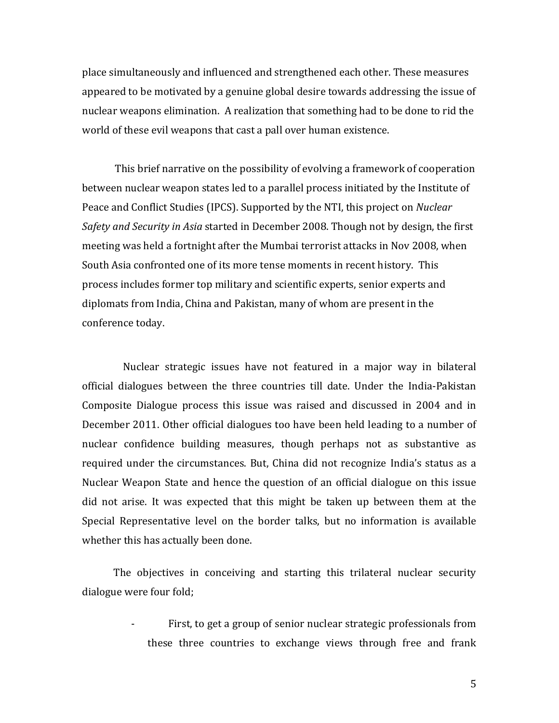place simultaneously and influenced and strengthened each other. These measures appeared to be motivated by a genuine global desire towards addressing the issue of nuclear weapons elimination. A realization that something had to be done to rid the world of these evil weapons that cast a pall over human existence.

 This brief narrative on the possibility of evolving a framework of cooperation between nuclear weapon states led to a parallel process initiated by the Institute of Peace and Conflict Studies (IPCS). Supported by the NTI, this project on *Nuclear Safety and Security in Asia* started in December 2008. Though not by design, the first meeting was held a fortnight after the Mumbai terrorist attacks in Nov 2008, when South Asia confronted one of its more tense moments in recent history. This process includes former top military and scientific experts, senior experts and diplomats from India, China and Pakistan, many of whom are present in the conference today.

 Nuclear strategic issues have not featured in a major way in bilateral official dialogues between the three countries till date. Under the India‐Pakistan Composite Dialogue process this issue was raised and discussed in 2004 and in December 2011. Other official dialogues too have been held leading to a number of nuclear confidence building measures, though perhaps not as substantive as required under the circumstances. But, China did not recognize India's status as a Nuclear Weapon State and hence the question of an official dialogue on this issue did not arise. It was expected that this might be taken up between them at the Special Representative level on the border talks, but no information is available whether this has actually been done.

 The objectives in conceiving and starting this trilateral nuclear security dialogue were four fold;

> First, to get a group of senior nuclear strategic professionals from these three countries to exchange views through free and frank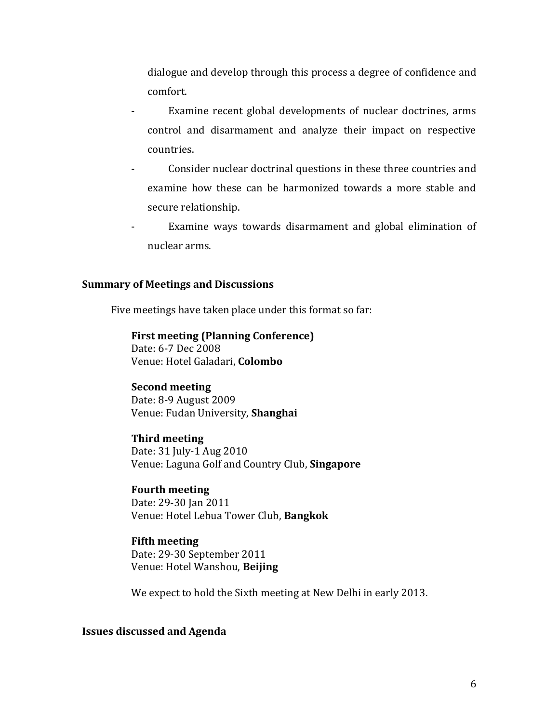dialogue and develop through this process a degree of confidence and comfort.

- ‐ Examine recent global developments of nuclear doctrines, arms control and disarmament and analyze their impact on respective countries.
- ‐ Consider nuclear doctrinal questions in these three countries and examine how these can be harmonized towards a more stable and secure relationship.
- ‐ Examine ways towards disarmament and global elimination of nuclear arms.

#### **Summary of Meetings and Discussions**

Five meetings have taken place under this format so far:

# **First meeting (Planni ng Conference)**

Date: 6-7 Dec 2008 Venue: Hotel Galadari, **Colombo** 

#### **Second meeting**

Date: 8‐9 August 2009 Venue: Fudan University, **Shanghai**

# **Third meeting**

Date: 31 July‐1 Aug 2010 Venue: Laguna Golf and Country Club, **Singapore**

# **Fourth meeting**

Date: 29‐30 Jan 2011 Venue: Hotel Lebua Tower Club, **Bangkok**

#### **Fifth meeting**

Date: 29-30 September 2011 Venue: Hotel Wanshou, **Beijing**

We expect to hold the Sixth meeting at New Delhi in early 2013.

### **Issues discussed and Agenda**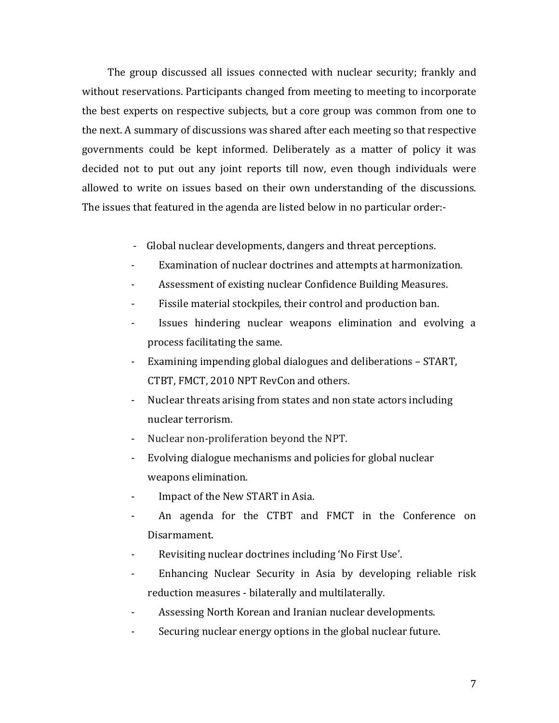The group discussed all issues connected with nuclear security; frankly and without reservations. Participants changed from meeting to meeting to incorporate the best experts on respective subjects, but a core group was common from one to the next. A summary of discussions was shared after each meeting so that respective governments could be kept informed. Deliberately as a matter of policy it was decided not to put out any joint reports till now, even though individuals were allowed to write on issues based on their own understanding of the discussions. The issues that featured in the agenda are listed below in no particular order:‐

- ‐ Global nuclear developments, dangers and threat perceptions.
- Examination of nuclear doctrines and attempts at harmonization.
- ‐ Assessment of existing nuclear Confidence Building Measures.
- ‐ Fissile material stockpiles, their control and production ban.
- ‐ Issues hindering nuclear weapons elimination and evolving a process facilitating the same.
- ‐ Examining impending global dialogues and deliberations START, CTBT, FMCT, 2010 NPT RevCon and others.
- ‐ Nuclear threats arising from states and non state actors including nuclear terrorism.
- ‐ Nuclear non‐proliferation beyond the NPT.
- ‐ Evolving dialogue mechanisms and policies for global nuclear weapons elimination.
- Impact of the New START in Asia.
- ‐ An agenda for the CTBT and FMCT in the Conference on Disarmament.
- ‐ Revisiting nuclear doctrines including 'No First Use'.
- ‐ Enhancing Nuclear Security in Asia by developing reliable risk reduction measures ‐ bilaterally and multilaterally.
- ‐ Assessing North Korean and Iranian nuclear developments.
- Securing nuclear energy options in the global nuclear future.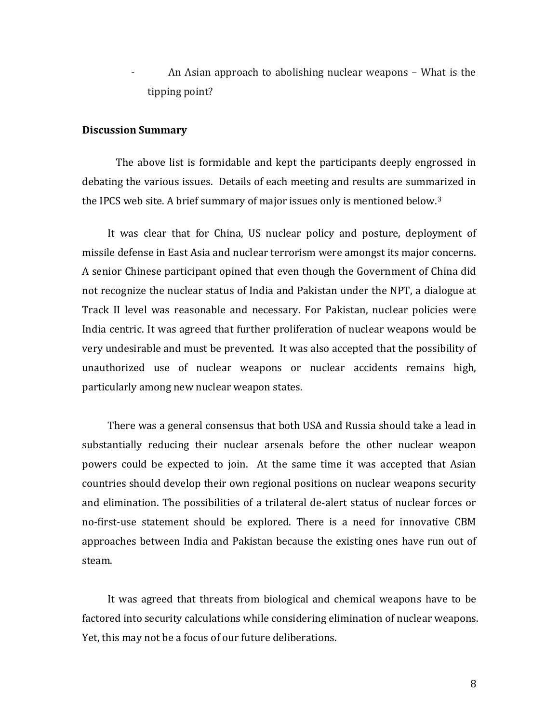An Asian approach to abolishing nuclear weapons – What is the tipping point?

#### **Discussion Summary**

 The above list is formidable and kept the participants deeply engrossed in debating the various issues. Details of each meeting and results are summarized in the IPCS web site. A brief summary of major issues only is mentioned below.3

 It was clear that for China, US nuclear policy and posture, deployment of missile defense in East Asia and nuclear terrorism were amongst its major concerns. A senior Chinese participant opined that even though the Government of China did not recognize the nuclear status of India and Pakistan under the NPT, a dialogue at Track II level was reasonable and necessary. For Pakistan, nuclear policies were India centric. It was agreed that further proliferation of nuclear weapons would be very undesirable and must be prevented. It was also accepted that the possibility of unauthorized use of nuclear weapons or nuclear accidents remains high, particularly among new nuclear weapon states.

 There was a general consensus that both USA and Russia should take a lead in substantially reducing their nuclear arsenals before the other nuclear weapon powers could be expected to join. At the same time it was accepted that Asian countries should develop their own regional positions on nuclear weapons security and elimination. The possibilities of a trilateral de‐alert status of nuclear forces or no‐first‐use statement should be explored. There is a need for innovative CBM approaches between India and Pakistan because the existing ones have run out of steam.

 It was agreed that threats from biological and chemical weapons have to be factored into security calculations while considering elimination of nuclear weapons. Yet, this may not be a focus of our future deliberations.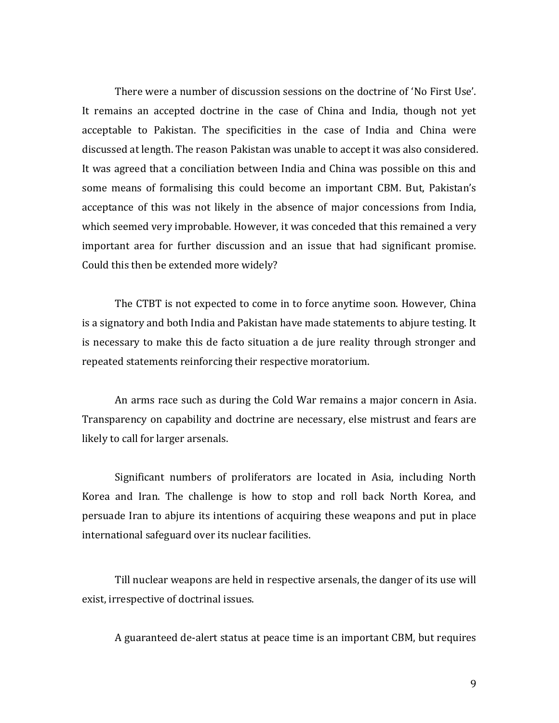There were a number of discussion sessions on the doctrine of 'No First Use'. It remains an accepted doctrine in the case of China and India, though not yet acceptable to Pakistan. The specificities in the case of India and China were discussed at length. The reason Pakistan was unable to accept it was also considered. It was agreed that a conciliation between India and China was possible on this and some means of formalising this could become an important CBM. But, Pakistan's acceptance of this was not likely in the absence of major concessions from India, which seemed very improbable. However, it was conceded that this remained a very important area for further discussion and an issue that had significant promise. Could this then be extended more widely?

The CTBT is not expected to come in to force anytime soon. However, China is a signatory and both India and Pakistan have made statements to abjure testing. It is necessary to make this de facto situation a de jure reality through stronger and repeated statements reinforcing their respective moratorium.

An arms race such as during the Cold War remains a major concern in Asia. Transparency on capability and doctrine are necessary, else mistrust and fears are likely to call for larger arsenals.

Significant numbers of proliferators are located in Asia, including North Korea and Iran. The challenge is how to stop and roll back North Korea, and persuade Iran to abjure its intentions of acquiring these weapons and put in place international safeguard over its nuclear facilities.

Till nuclear weapons are held in respective arsenals, the danger of its use will exist, irrespective of doctrinal issues.

A guaranteed de‐alert status at peace time is an important CBM, but requires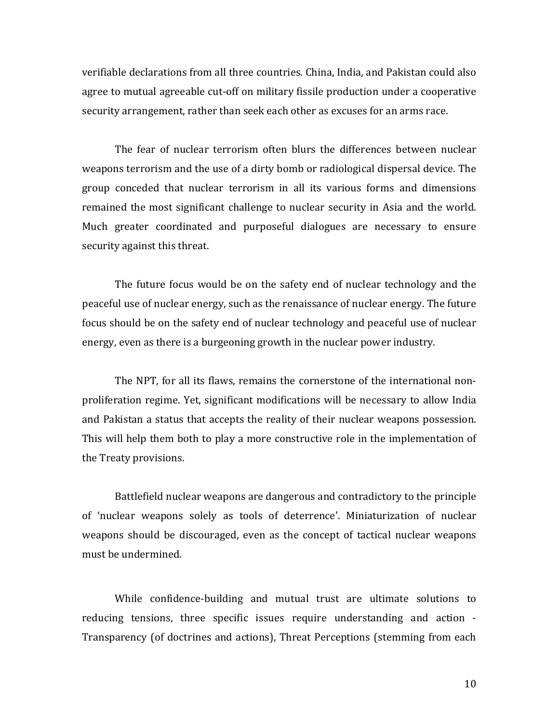verifiable declarations from all three countries. China, India, and Pakistan could also agree to mutual agreeable cut‐off on military fissile production under a cooperative security arrangement, rather than seek each other as excuses for an arms race.

The fear of nuclear terrorism often blurs the differences between nuclear weapons terrorism and the use of a dirty bomb or radiological dispersal device. The group conceded that nuclear terrorism in all its various forms and dimensions remained the most significant challenge to nuclear security in Asia and the world. Much greater coordinated and purposeful dialogues are necessary to ensure security against this threat.

The future focus would be on the safety end of nuclear technology and the peaceful use of nuclear energy, such as the renaissance of nuclear energy. The future focus should be on the safety end of nuclear technology and peaceful use of nuclear energy, even as there is a burgeoning growth in the nuclear power industry.

The NPT, for all its flaws, remains the cornerstone of the international nonproliferation regime. Yet, significant modifications will be necessary to allow India and Pakistan a status that accepts the reality of their nuclear weapons possession. This will help them both to play a more constructive role in the implementation of the Treaty provisions.

Battlefield nuclear weapons are dangerous and contradictory to the principle of 'nuclear weapons solely as tools of deterrence'. Miniaturization of nuclear weapons should be discouraged, even as the concept of tactical nuclear weapons must be undermined.

While confidence-building and mutual trust are ultimate solutions to reducing tensions, three specific issues require understanding and action ‐ Transparency (of doctrines and actions), Threat Perceptions (stemming from each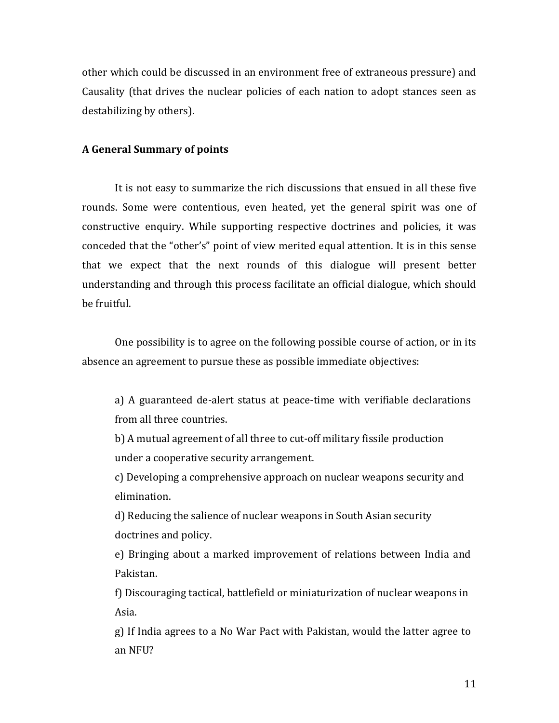other which could be discussed in an environment free of extraneous pressure) and Causality (that drives the nuclear policies of each nation to adopt stances seen as destabilizing by others).

#### **A General Summary of points**

It is not easy to summarize the rich discussions that ensued in all these five rounds. Some were contentious, even heated, yet the general spirit was one of constructive enquiry. While supporting respective doctrines and policies, it was conceded that the "other's" point of view merited equal attention. It is in this sense that we expect that the next rounds of this dialogue will present better understanding and through this process facilitate an official dialogue, which should be fruitful.

One possibility is to agree on the following possible course of action, or in its absence an agreement to pursue these as possible immediate objectives:

a) A guaranteed de-alert status at peace-time with verifiable declarations from all three countries.

b) A mutual agreement of all three to cut-off military fissile production under a cooperative security arrangement.

c) Developing a comprehensive approach on nuclear weapons security and elimination.

d) Reducing the salience of nuclear weapons in South Asian security doctrines and policy.

e) Bringing about a marked improvement of relations between India and Pakistan.

f) Discouraging tactical, battlefield or miniaturization of nuclear weapons in Asia.

g) If India agrees to a No War Pact with Pakistan, would the latter agree to an NFU?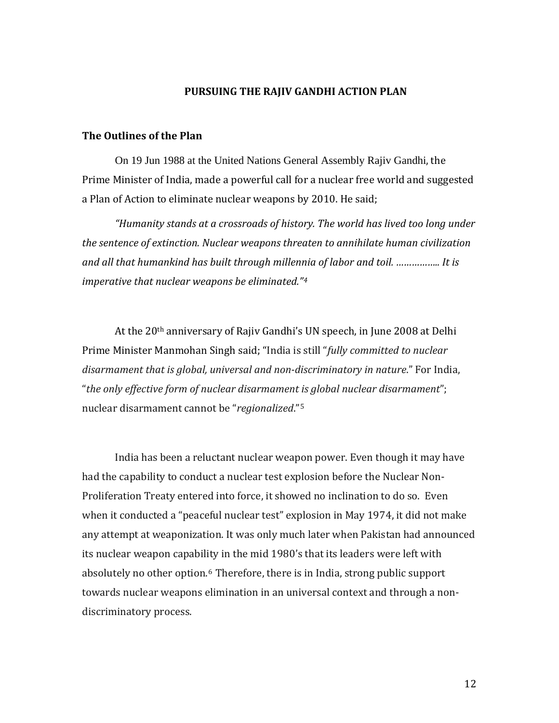#### **PURSUING THE RAJIV GANDHI ACTION PLAN**

#### **T he Outlines of the Plan**

On 19 Jun 1988 at the United Nations General Assembly Rajiv Gandhi, the Prime Minister of India, made a powerful call for a nuclear free world and suggested a Plan of Action to eliminate nuclear weapons by 2010. He said;

*"Humanity stands at a crossroads of history. The world has lived too long under the sentence of extinction. Nuclear weapons threaten to annihilate human civilization and all that humankind has built through millennia of labor and toil. …………….. It is imperative that nuclear weapons be eliminated."[4](#page-16-1)*

 At the 20th anniversary of Rajiv Gandhi's UN speech, in June 2008 at Delhi Prime Minister Manmohan Singh said; "India is still "*fully committed to nuclear disarmament that is global, universal and nondiscriminatory in nature*." For India, "*the only effective form of nuclear disarmament is global nuclear disarmament*"; nuclear disarmament cannot be "*regionalized*."[5](#page-16-1)

 India has been a reluctant nuclear weapon power. Even though it may have had the capability to conduct a nuclear test explosion before the Nuclear Non‐ Proliferation Treaty entered into force, it showed no inclination to do so. Even when it conducted a "peaceful nuclear test" explosion in May 1974, it did not make any attempt at weaponization. It was only much later when Pakistan had announced its nuclear weapon capability in the mid 1980's that its leaders were left with absolutely no other option.<sup>[6](#page-16-1)</sup> Therefore, there is in India, strong public support towards nuclear weapons elimination in an universal context and through a non‐ discriminatory process.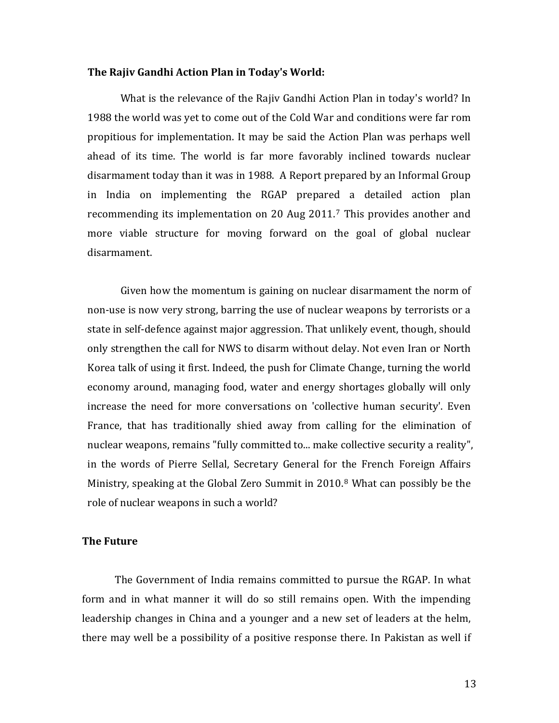#### **The Rajiv Gandhi Action Plan in Today's World:**

What is the relevance of the Rajiv Gandhi Action Plan in today's world? In 1988 the world was yet to come out of the Cold War and conditions were far rom propitious for implementation. It may be said the Action Plan was perhaps well ahead of its time. The world is far more favorably inclined towards nuclear disarmament today than it was in 1988. A Report prepared by an Informal Group in India on implementing the RGAP prepared a detailed action plan recommending its implementation on 20 Aug 2011.<sup>[7](#page-16-1)</sup> This provides another and more viable structure for moving forward on the goal of global nuclear disarmament.

Given how the momentum is gaining on nuclear disarmament the norm of non‐use is now very strong, barring the use of nuclear weapons by terrorists or a state in self‐defence against major aggression. That unlikely event, though, should only strengthen the call for NWS to disarm without delay. Not even Iran or North Korea talk of using it first. Indeed, the push for Climate Change, turning the world economy around, managing food, water and energy shortages globally will only increase the need for more conversations on 'collective human security'. Even France, that has traditionally shied away from calling for the elimination of nuclear weapons, remains "fully committed to... make collective security a reality", in the words of Pierre Sellal, Secretary General for the French Foreign Affairs Ministry, speaking at the Global Zero Summit in 2010.[8](#page-16-1) What can possibly be the role of nuclear weapons in such a world?

#### **The Future**

The Government of India remains committed to pursue the RGAP. In what form and in what manner it will do so still remains open. With the impending leadership changes in China and a younger and a new set of leaders at the helm, there may well be a possibility of a positive response there. In Pakistan as well if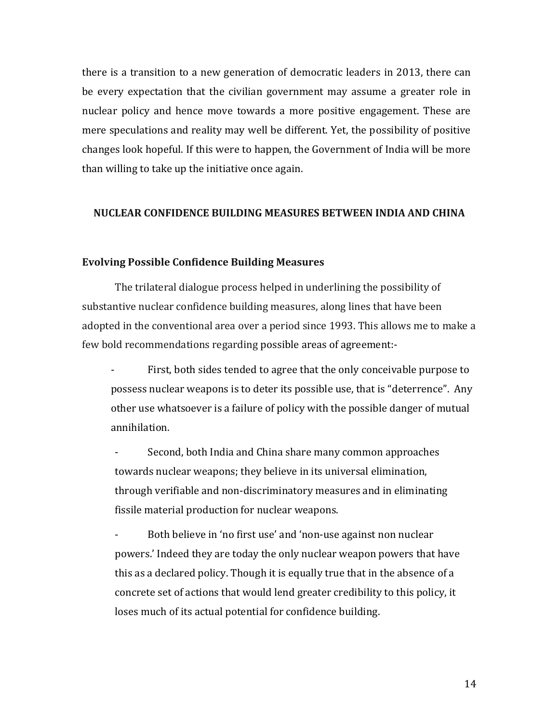there is a transition to a new generation of democratic leaders in 2013, there can be every expectation that the civilian government may assume a greater role in nuclear policy and hence move towards a more positive engagement. These are mere speculations and reality may well be different. Yet, the possibility of positive changes look hopeful. If this were to happen, the Government of India will be more than willing to take up the initiative once again.

#### **NUCLEAR CONFIDENCE BUILDING MEASURES BETWEEN INDIA AND CHINA**

#### **Evolving Possible Confidence Building Measures**

The trilateral dialogue process helped in underlining the possibility of substantive nuclear confidence building measures, along lines that have been adopted in the conventional area over a period since 1993. This allows me to make a few bold recommendations regarding possible areas of agreement:-

First, both sides tended to agree that the only conceivable purpose to possess nuclear weapons is to deter its possible use, that is "deterrence". Any other use whatsoever is a failure of policy with the possible danger of mutual annihilation.

Second, both India and China share many common approaches towards nuclear weapons; they believe in its universal elimination, through verifiable and non‐discriminatory measures and in eliminating fissile material production for nuclear weapons.

Both believe in 'no first use' and 'non-use against non nuclear powers.' Indeed they are today the only nuclear weapon powers that have this as a declared policy. Though it is equally true that in the absence of a concrete set of actions that would lend greater credibility to this policy, it loses much of its actual potential for confidence building.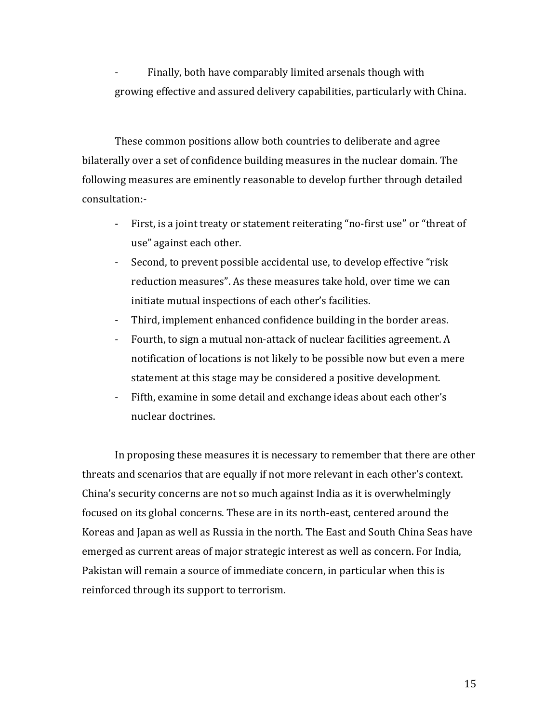Finally, both have comparably limited arsenals though with growing effective and assured delivery capabilities, particularly with China.

These common positions allow both countries to deliberate and agree bilaterally over a set of confidence building measures in the nuclear domain. The following measures are eminently reasonable to develop further through detailed consultation:-

- ‐ First, is a joint treaty or statement reiterating "no‐first use" or "threat of use" against each other.
- ‐ Second, to prevent possible accidental use, to develop effective "risk reduction measures". As these measures take hold, over time we can initiate mutual inspections of each other's facilities.
- ‐ Third, implement enhanced confidence building in the border areas.
- ‐ Fourth, to sign a mutual non‐attack of nuclear facilities agreement. A notification of locations is not likely to be possible now but even a mere statement at this stage may be considered a positive development.
- ‐ Fifth, examine in some detail and exchange ideas about each other's nuclear doctrines.

 In proposing these measures it is necessary to remember that there are other threats and scenarios that are equally if not more relevant in each other's context. China's security concerns are not so much against India as it is overwhelmingly focused on its global concerns. These are in its north‐east, centered around the Koreas and Japan as well as Russia in the north. The East and South China Seas have emerged as current areas of major strategic interest as well as concern. For India, Pakistan will remain a source of immediate concern, in particular when this is reinforced through its support to terrorism.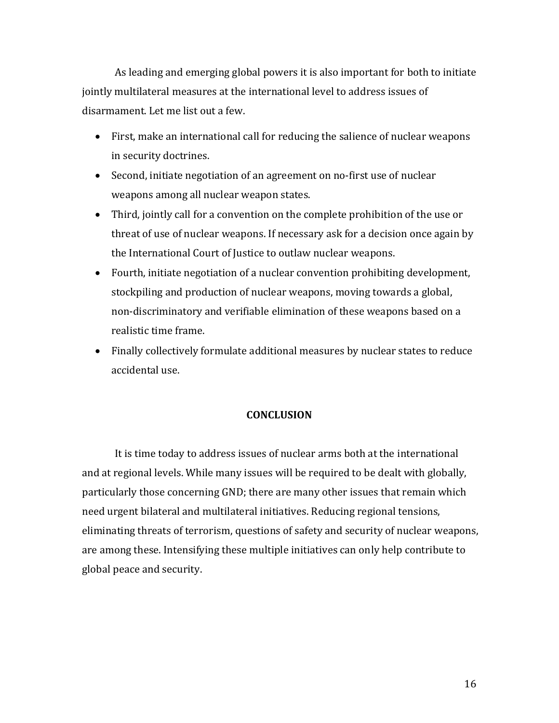As leading and emerging global powers it is also important for both to initiate jointly multilateral measures at the international level to address issues of disarmament. Let me list out a few.

- First, make an international call for reducing the salience of nuclear weapons in security doctrines.
- Second, initiate negotiation of an agreement on no-first use of nuclear weapons among all nuclear weapon states.
- Third, jointly call for a convention on the complete prohibition of the use or threat of use of nuclear weapons. If necessary ask for a decision once again by the International Court of Justice to outlaw nuclear weapons.
- Fourth, initiate negotiation of a nuclear convention prohibiting development, stockpiling and production of nuclear weapons, moving towards a global, non‐discriminatory and verifiable elimination of these weapons based on a realistic time frame.
- Finally collectively formulate additional measures by nuclear states to reduce accidental use.

# **CONCLUSION**

 It is time today to address issues of nuclear arms both at the international and at regional levels. While many issues will be required to be dealt with globally, particularly those concerning GND; there are many other issues that remain which need urgent bilateral and multilateral initiatives. Reducing regional tensions, eliminating threats of terrorism, questions of safety and security of nuclear weapons, are among these. Intensifying these multiple initiatives can only help contribute to global peace and security.